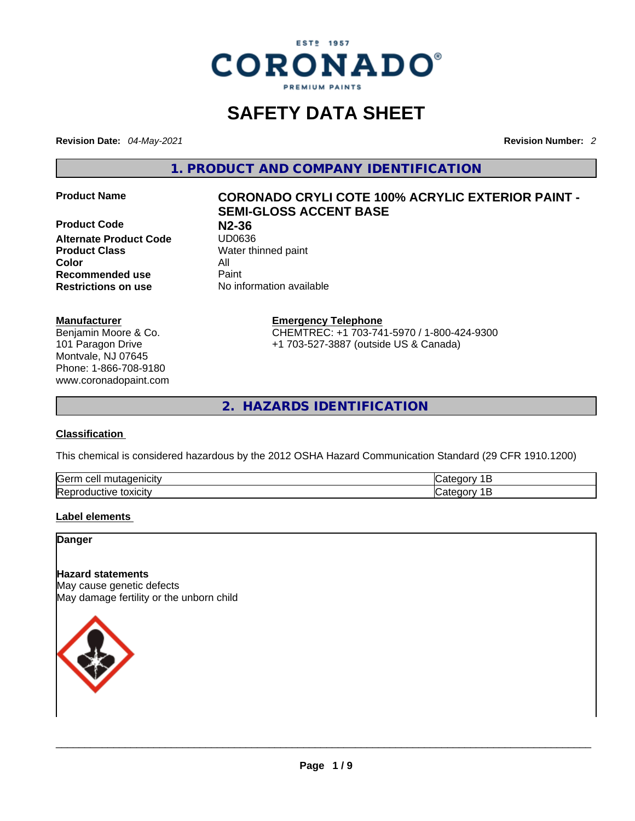

# **SAFETY DATA SHEET**

**Revision Date:** *04-May-2021* **Revision Number:** *2*

**1. PRODUCT AND COMPANY IDENTIFICATION** 

**Product Code N2-36 Alternate Product Code**<br>**Product Class Color** All **Recommended use All Property Recommended use<br>Restrictions on use** 

# **Manufacturer**

Benjamin Moore & Co. 101 Paragon Drive Montvale, NJ 07645 Phone: 1-866-708-9180 www.coronadopaint.com

# **Product Name CORONADO CRYLI COTE 100% ACRYLIC EXTERIOR PAINT - SEMI-GLOSS ACCENT BASE**

**Water thinned paint Restrictions on use** No information available

> **Emergency Telephone** CHEMTREC: +1 703-741-5970 / 1-800-424-9300 +1 703-527-3887 (outside US & Canada)

**2. HAZARDS IDENTIFICATION** 

# **Classification**

This chemical is considered hazardous by the 2012 OSHA Hazard Communication Standard (29 CFR 1910.1200)

| ∽<br>$+0.000101$<br>Gerr<br>cell<br>.nutadenicity | יונ זו |
|---------------------------------------------------|--------|
| Repr<br>toxicity<br>roquctive                     | יונ זו |

# **Label elements**

**Danger** 

# **Hazard statements**

May cause genetic defects May damage fertility or the unborn child

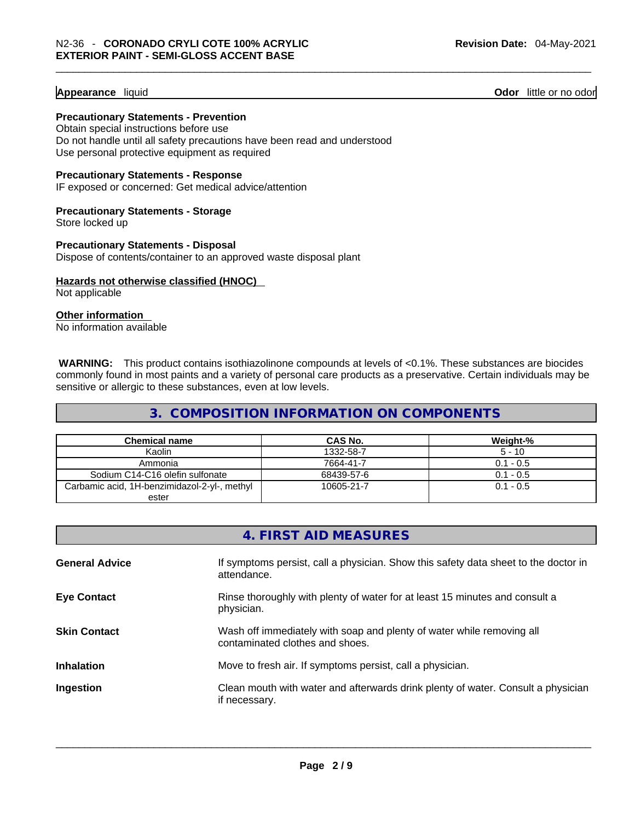#### **Appearance** liquid

**Odor** little or no odor

**Precautionary Statements - Prevention** Obtain special instructions before use Do not handle until all safety precautions have been read and understood

Use personal protective equipment as required

#### **Precautionary Statements - Response**

IF exposed or concerned: Get medical advice/attention

#### **Precautionary Statements - Storage** Store locked up

**Precautionary Statements - Disposal**

Dispose of contents/container to an approved waste disposal plant

# **Hazards not otherwise classified (HNOC)**

Not applicable

# **Other information**

No information available

**WARNING:** This product contains isothiazolinone compounds at levels of <0.1%. These substances are biocides commonly found in most paints and a variety of personal care products as a preservative. Certain individuals may be sensitive or allergic to these substances, even at low levels.

# **3. COMPOSITION INFORMATION ON COMPONENTS**

| <b>Chemical name</b>                         | CAS No.    | Weight-%    |
|----------------------------------------------|------------|-------------|
| Kaolin                                       | 1332-58-7  | $5 - 10$    |
| Ammonia                                      | 7664-41-7  | $0.1 - 0.5$ |
| Sodium C14-C16 olefin sulfonate              | 68439-57-6 | $0.1 - 0.5$ |
| Carbamic acid, 1H-benzimidazol-2-yl-, methyl | 10605-21-7 | $0.1 - 0.5$ |
| ester                                        |            |             |

|                       | 4. FIRST AID MEASURES                                                                                    |
|-----------------------|----------------------------------------------------------------------------------------------------------|
| <b>General Advice</b> | If symptoms persist, call a physician. Show this safety data sheet to the doctor in<br>attendance.       |
| <b>Eye Contact</b>    | Rinse thoroughly with plenty of water for at least 15 minutes and consult a<br>physician.                |
| <b>Skin Contact</b>   | Wash off immediately with soap and plenty of water while removing all<br>contaminated clothes and shoes. |
| <b>Inhalation</b>     | Move to fresh air. If symptoms persist, call a physician.                                                |
| Ingestion             | Clean mouth with water and afterwards drink plenty of water. Consult a physician<br>if necessary.        |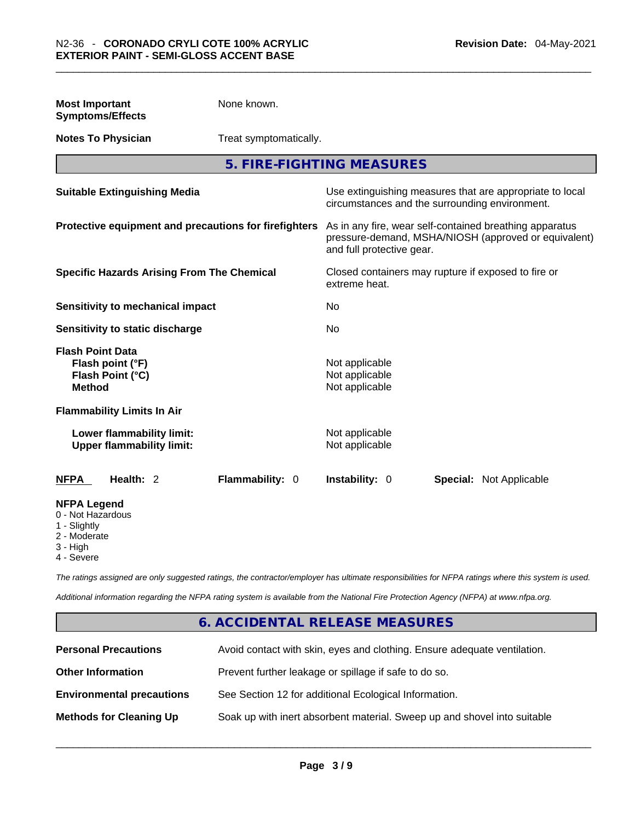| <b>Most Important</b><br><b>Symptoms/Effects</b>                                                  | None known.            |                                                    |                                                                                                                 |  |
|---------------------------------------------------------------------------------------------------|------------------------|----------------------------------------------------|-----------------------------------------------------------------------------------------------------------------|--|
| <b>Notes To Physician</b>                                                                         | Treat symptomatically. |                                                    |                                                                                                                 |  |
|                                                                                                   |                        | 5. FIRE-FIGHTING MEASURES                          |                                                                                                                 |  |
| <b>Suitable Extinguishing Media</b>                                                               |                        |                                                    | Use extinguishing measures that are appropriate to local<br>circumstances and the surrounding environment.      |  |
| Protective equipment and precautions for firefighters                                             |                        | and full protective gear.                          | As in any fire, wear self-contained breathing apparatus<br>pressure-demand, MSHA/NIOSH (approved or equivalent) |  |
| <b>Specific Hazards Arising From The Chemical</b>                                                 |                        | extreme heat.                                      | Closed containers may rupture if exposed to fire or                                                             |  |
| Sensitivity to mechanical impact                                                                  |                        | No                                                 |                                                                                                                 |  |
| Sensitivity to static discharge                                                                   |                        | No                                                 |                                                                                                                 |  |
| <b>Flash Point Data</b><br>Flash point (°F)<br>Flash Point (°C)<br><b>Method</b>                  |                        | Not applicable<br>Not applicable<br>Not applicable |                                                                                                                 |  |
| <b>Flammability Limits In Air</b>                                                                 |                        |                                                    |                                                                                                                 |  |
| Lower flammability limit:<br><b>Upper flammability limit:</b>                                     |                        | Not applicable<br>Not applicable                   |                                                                                                                 |  |
| Health: 2<br><b>NFPA</b>                                                                          | Flammability: 0        | Instability: 0                                     | <b>Special: Not Applicable</b>                                                                                  |  |
| <b>NFPA Legend</b><br>0 - Not Hazardous<br>1 - Slightly<br>2 - Moderate<br>3 - High<br>4 - Severe |                        |                                                    |                                                                                                                 |  |

*The ratings assigned are only suggested ratings, the contractor/employer has ultimate responsibilities for NFPA ratings where this system is used.* 

*Additional information regarding the NFPA rating system is available from the National Fire Protection Agency (NFPA) at www.nfpa.org.* 

# **6. ACCIDENTAL RELEASE MEASURES**

| <b>Personal Precautions</b>      | Avoid contact with skin, eyes and clothing. Ensure adequate ventilation. |
|----------------------------------|--------------------------------------------------------------------------|
| <b>Other Information</b>         | Prevent further leakage or spillage if safe to do so.                    |
| <b>Environmental precautions</b> | See Section 12 for additional Ecological Information.                    |
| <b>Methods for Cleaning Up</b>   | Soak up with inert absorbent material. Sweep up and shovel into suitable |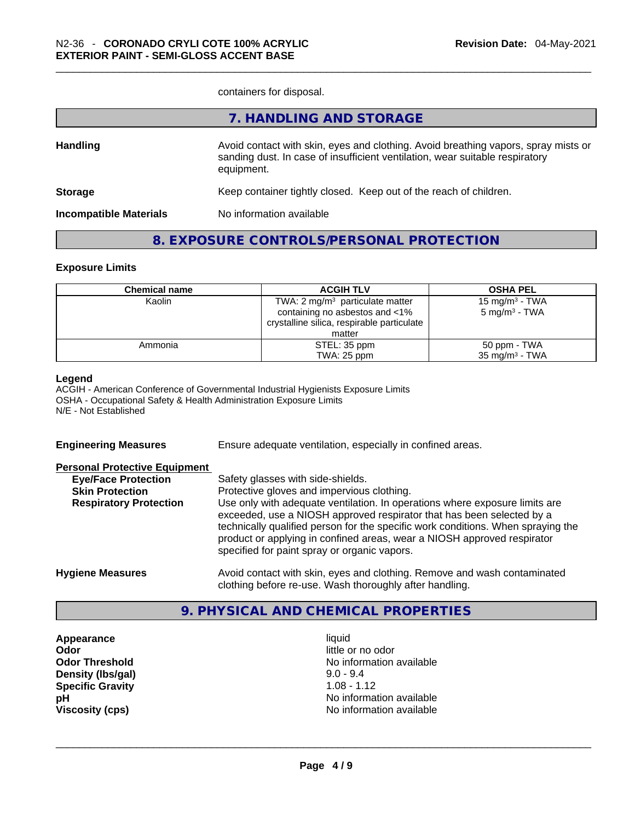containers for disposal.

|                               | 7. HANDLING AND STORAGE                                                                                                                                                          |
|-------------------------------|----------------------------------------------------------------------------------------------------------------------------------------------------------------------------------|
| <b>Handling</b>               | Avoid contact with skin, eyes and clothing. Avoid breathing vapors, spray mists or<br>sanding dust. In case of insufficient ventilation, wear suitable respiratory<br>equipment. |
| <b>Storage</b>                | Keep container tightly closed. Keep out of the reach of children.                                                                                                                |
| <b>Incompatible Materials</b> | No information available                                                                                                                                                         |
|                               |                                                                                                                                                                                  |

# **8. EXPOSURE CONTROLS/PERSONAL PROTECTION**

# **Exposure Limits**

| <b>Chemical name</b> | <b>ACGIH TLV</b>                           | <b>OSHA PEL</b>            |
|----------------------|--------------------------------------------|----------------------------|
| Kaolin               | TWA: 2 $mg/m3$ particulate matter          | 15 mg/m <sup>3</sup> - TWA |
|                      | containing no asbestos and <1%             | 5 mg/m <sup>3</sup> - TWA  |
|                      | crystalline silica, respirable particulate |                            |
|                      | matter                                     |                            |
| Ammonia              | STEL: 35 ppm                               | 50 ppm - TWA               |
|                      | TWA: 25 ppm                                | $35 \text{ mg/m}^3$ - TWA  |

#### **Legend**

ACGIH - American Conference of Governmental Industrial Hygienists Exposure Limits OSHA - Occupational Safety & Health Administration Exposure Limits N/E - Not Established

**Engineering Measures** Ensure adequate ventilation, especially in confined areas. **Personal Protective Equipment Eye/Face Protection** Safety glasses with side-shields. **Skin Protection** Protective gloves and impervious clothing. **Respiratory Protection** Use only with adequate ventilation. In operations where exposure limits are exceeded, use a NIOSH approved respirator that has been selected by a technically qualified person for the specific work conditions. When spraying the product or applying in confined areas, wear a NIOSH approved respirator specified for paint spray or organic vapors. **Hygiene Measures** Avoid contact with skin, eyes and clothing. Remove and wash contaminated clothing before re-use. Wash thoroughly after handling.

# **9. PHYSICAL AND CHEMICAL PROPERTIES**

**Appearance** liquid **Odor Odor Odor Odor Odor** *little or no odor little or no odor* **Density (lbs/gal)** 9.0 - 9.4 **Specific Gravity** 1.08 - 1.12

**Odor Threshold No information available No information available pH** No information available **Viscosity (cps)** No information available \_\_\_\_\_\_\_\_\_\_\_\_\_\_\_\_\_\_\_\_\_\_\_\_\_\_\_\_\_\_\_\_\_\_\_\_\_\_\_\_\_\_\_\_\_\_\_\_\_\_\_\_\_\_\_\_\_\_\_\_\_\_\_\_\_\_\_\_\_\_\_\_\_\_\_\_\_\_\_\_\_\_\_\_\_\_\_\_\_\_\_\_\_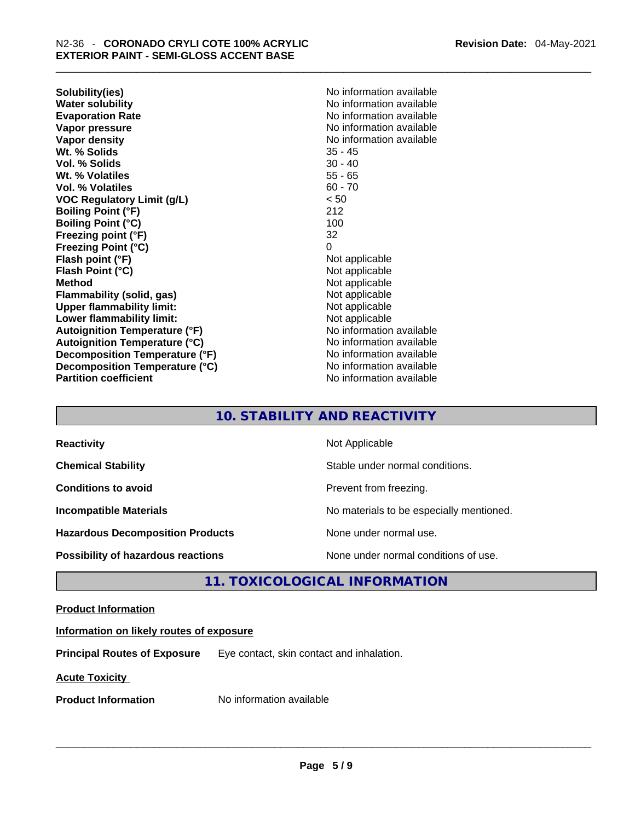**Solubility(ies)** No information available **Water solubility 19 and 19 and 19 and 19 and 19 and 19 and 19 and 19 and 19 and 19 and 19 and 19 and 19 and 19 and 19 and 19 and 19 and 19 and 19 and 19 and 19 and 19 and 19 and 19 and 19 and 19 and 19 and 19 and 19 and 1 Vapor pressure**  No information available **Vapor pressure No information available Vapor density No information available No information available Wt. % Solids** 35 - 45 **Vol. % Solids Wt. % Volatiles** 55 - 65 **Vol. % Volatiles VOC Regulatory Limit (g/L)** < 50 **Boiling Point (°F)** 212 **Boiling Point (°C) Freezing point (°F)** 32 **Freezing Point (°C)** 0 **Flash point (°F)** Not applicable **Flash Point (°C)** Not applicable **Method**<br> **Plammability (solid, gas)**<br> **Plammability (solid, gas)**<br> **Not** applicable **Flammability** (solid, gas) **Upper flammability limit:** Not applicable **Lower flammability limit:**<br> **Autoignition Temperature (°F)**<br>
Mo information available **Autoignition Temperature (°F) Autoignition Temperature (°C)** No information available **Decomposition Temperature (°F)** No information available **Decomposition Temperature (°C)** No information available **Partition coefficient** No information available

**Evaporation Rate** No information available

# **10. STABILITY AND REACTIVITY**

| <b>Reactivity</b>                         | Not Applicable                           |
|-------------------------------------------|------------------------------------------|
| <b>Chemical Stability</b>                 | Stable under normal conditions.          |
| <b>Conditions to avoid</b>                | Prevent from freezing.                   |
| <b>Incompatible Materials</b>             | No materials to be especially mentioned. |
| <b>Hazardous Decomposition Products</b>   | None under normal use.                   |
| <b>Possibility of hazardous reactions</b> | None under normal conditions of use.     |

# **11. TOXICOLOGICAL INFORMATION**

# **Product Information**

# **Information on likely routes of exposure**

**Principal Routes of Exposure** Eye contact, skin contact and inhalation.

**Acute Toxicity** 

**Product Information** Mo information available **and the set of the set of the set of the set of the set of the set of the set of the set of the set of the set of the set of the set of the set of the set of the set of the s**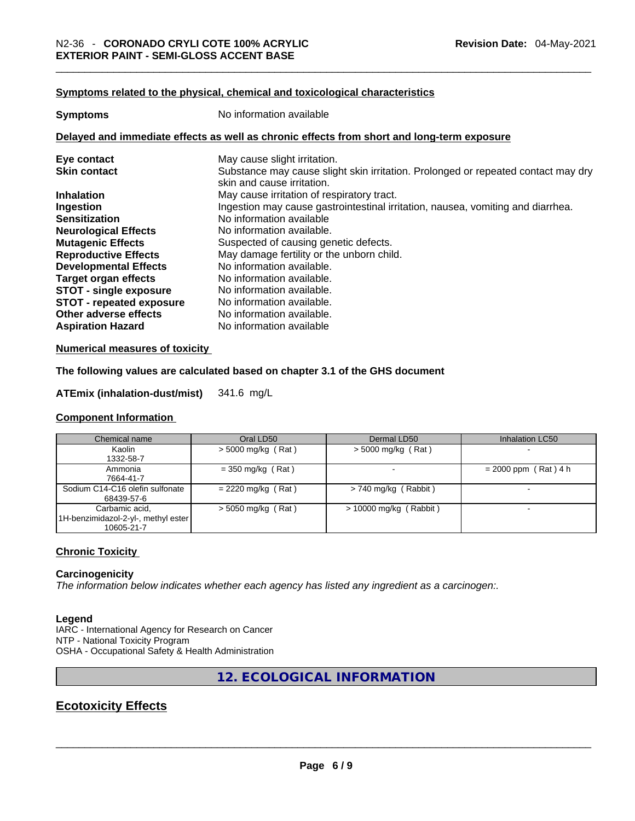# **Symptoms** related to the physical, chemical and toxicological characteristics

| <b>Symptoms</b>                 | No information available                                                                                        |  |  |
|---------------------------------|-----------------------------------------------------------------------------------------------------------------|--|--|
|                                 | Delayed and immediate effects as well as chronic effects from short and long-term exposure                      |  |  |
| Eye contact                     | May cause slight irritation.                                                                                    |  |  |
| <b>Skin contact</b>             | Substance may cause slight skin irritation. Prolonged or repeated contact may dry<br>skin and cause irritation. |  |  |
| <b>Inhalation</b>               | May cause irritation of respiratory tract.                                                                      |  |  |
| Ingestion                       | Ingestion may cause gastrointestinal irritation, nausea, vomiting and diarrhea.                                 |  |  |
| <b>Sensitization</b>            | No information available                                                                                        |  |  |
| <b>Neurological Effects</b>     | No information available.                                                                                       |  |  |
| <b>Mutagenic Effects</b>        | Suspected of causing genetic defects.                                                                           |  |  |
| <b>Reproductive Effects</b>     | May damage fertility or the unborn child.                                                                       |  |  |
| <b>Developmental Effects</b>    | No information available.                                                                                       |  |  |
| <b>Target organ effects</b>     | No information available.                                                                                       |  |  |
| <b>STOT - single exposure</b>   | No information available.                                                                                       |  |  |
| <b>STOT - repeated exposure</b> | No information available.                                                                                       |  |  |
| Other adverse effects           | No information available.                                                                                       |  |  |
| <b>Aspiration Hazard</b>        | No information available                                                                                        |  |  |

#### **Numerical measures of toxicity**

# **The following values are calculated based on chapter 3.1 of the GHS document**

# **ATEmix (inhalation-dust/mist)** 341.6 mg/L

# **Component Information**

| Chemical name                       | Oral LD50            | Dermal LD50              | Inhalation LC50        |
|-------------------------------------|----------------------|--------------------------|------------------------|
| Kaolin                              | $>$ 5000 mg/kg (Rat) | $>$ 5000 mg/kg (Rat)     |                        |
| 1332-58-7                           |                      |                          |                        |
| Ammonia                             | $=$ 350 mg/kg (Rat)  |                          | $= 2000$ ppm (Rat) 4 h |
| 7664-41-7                           |                      |                          |                        |
| Sodium C14-C16 olefin sulfonate     | $= 2220$ mg/kg (Rat) | $> 740$ mg/kg (Rabbit)   |                        |
| 68439-57-6                          |                      |                          |                        |
| Carbamic acid,                      | $> 5050$ mg/kg (Rat) | $> 10000$ mg/kg (Rabbit) |                        |
| 1H-benzimidazol-2-yl-, methyl ester |                      |                          |                        |
| 10605-21-7                          |                      |                          |                        |

#### **Chronic Toxicity**

# **Carcinogenicity**

*The information below indicates whether each agency has listed any ingredient as a carcinogen:.* 

#### **Legend**

IARC - International Agency for Research on Cancer NTP - National Toxicity Program OSHA - Occupational Safety & Health Administration

**12. ECOLOGICAL INFORMATION** 

# **Ecotoxicity Effects**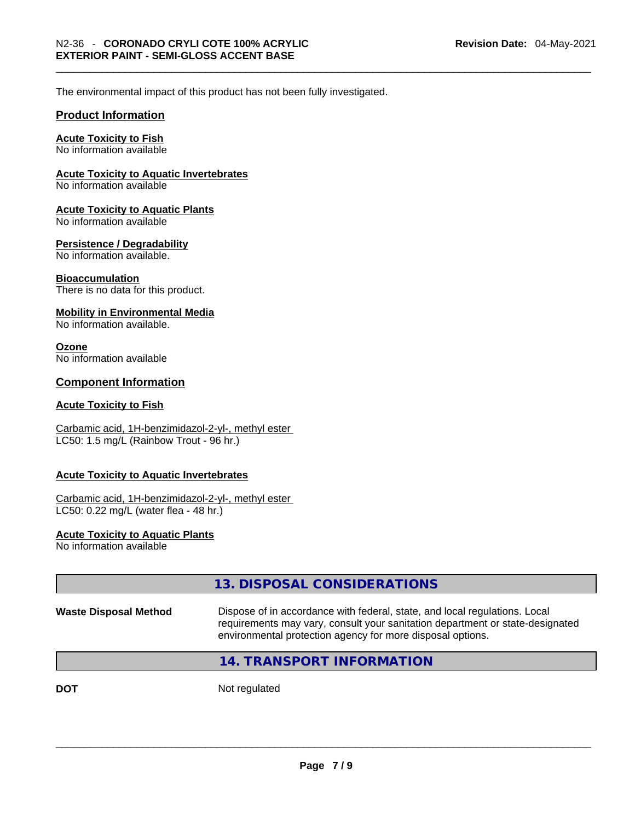The environmental impact of this product has not been fully investigated.

# **Product Information**

# **Acute Toxicity to Fish**

No information available

# **Acute Toxicity to Aquatic Invertebrates**

No information available

#### **Acute Toxicity to Aquatic Plants**

No information available

# **Persistence / Degradability**

No information available.

#### **Bioaccumulation**

There is no data for this product.

#### **Mobility in Environmental Media**

No information available.

#### **Ozone**

No information available

# **Component Information**

# **Acute Toxicity to Fish**

#### Carbamic acid, 1H-benzimidazol-2-yl-, methyl ester LC50: 1.5 mg/L (Rainbow Trout - 96 hr.)

# **Acute Toxicity to Aquatic Invertebrates**

Carbamic acid, 1H-benzimidazol-2-yl-, methyl ester LC50: 0.22 mg/L (water flea - 48 hr.)

# **Acute Toxicity to Aquatic Plants**

No information available

|                              | 13. DISPOSAL CONSIDERATIONS                                                                                                                                                                                               |
|------------------------------|---------------------------------------------------------------------------------------------------------------------------------------------------------------------------------------------------------------------------|
| <b>Waste Disposal Method</b> | Dispose of in accordance with federal, state, and local regulations. Local<br>requirements may vary, consult your sanitation department or state-designated<br>environmental protection agency for more disposal options. |
|                              | 14. TRANSPORT INFORMATION                                                                                                                                                                                                 |

**DOT** Not regulated  $\blacksquare$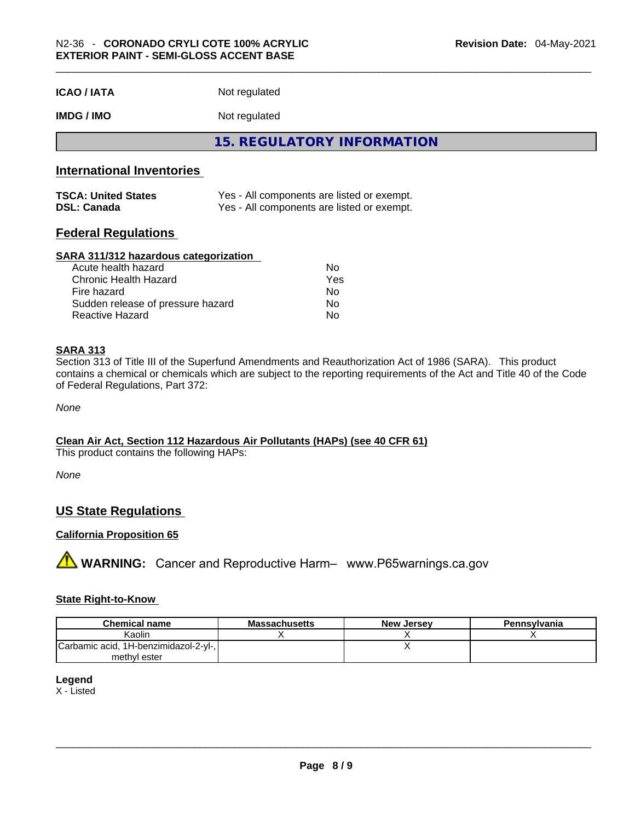| <b>ICAO/IATA</b> | Not regulated |
|------------------|---------------|
|------------------|---------------|

**IMDG / IMO** Not regulated

**15. REGULATORY INFORMATION** 

# **International Inventories**

| <b>TSCA: United States</b> | Yes - All components are listed or exempt. |
|----------------------------|--------------------------------------------|
| <b>DSL: Canada</b>         | Yes - All components are listed or exempt. |

# **Federal Regulations**

# **SARA 311/312 hazardous categorization**

| Acute health hazard               | No  |  |
|-----------------------------------|-----|--|
| Chronic Health Hazard             | Yes |  |
| Fire hazard                       | Nο  |  |
| Sudden release of pressure hazard | No. |  |
| Reactive Hazard                   | Nο  |  |

# **SARA 313**

Section 313 of Title III of the Superfund Amendments and Reauthorization Act of 1986 (SARA). This product contains a chemical or chemicals which are subject to the reporting requirements of the Act and Title 40 of the Code of Federal Regulations, Part 372:

*None*

# **Clean Air Act,Section 112 Hazardous Air Pollutants (HAPs) (see 40 CFR 61)**

This product contains the following HAPs:

*None*

# **US State Regulations**

# **California Proposition 65**

**A** WARNING: Cancer and Reproductive Harm– www.P65warnings.ca.gov

# **State Right-to-Know**

| <b>Chemical name</b>                  | <b>Massachusetts</b> | <b>New Jersev</b> | <b>Pennsylvania</b> |
|---------------------------------------|----------------------|-------------------|---------------------|
| Kaolin                                |                      |                   |                     |
| Carbamic acid, 1H-benzimidazol-2-yl-, |                      |                   |                     |
| methyl ester                          |                      |                   |                     |

#### **Legend**

X - Listed